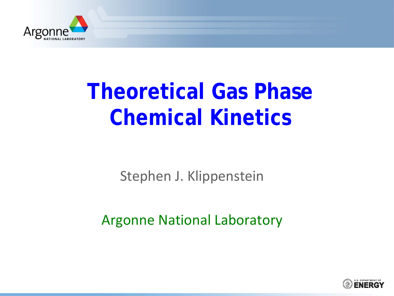

# **Theoretical Gas Phase Chemical Kinetics**

Stephen J. Klippenstein

Argonne National Laboratory

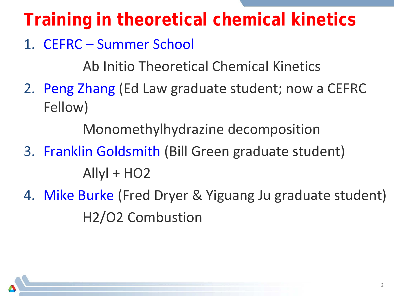## **Training in theoretical chemical kinetics**

#### 1. CEFRC – Summer School

Ab Initio Theoretical Chemical Kinetics

2. Peng Zhang (Ed Law graduate student; now a CEFRC Fellow)

Monomethylhydrazine decomposition

- 3. Franklin Goldsmith (Bill Green graduate student)  $Allyl + HO2$
- 4. Mike Burke (Fred Dryer & Yiguang Ju graduate student) H2/O2 Combustion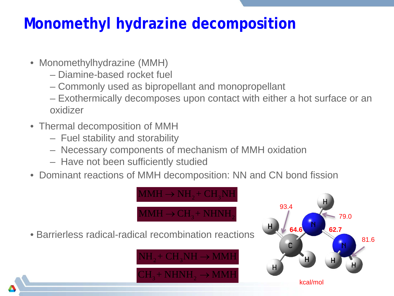### **Monomethyl hydrazine decomposition**

- Monomethylhydrazine (MMH)
	- Diamine-based rocket fuel
	- Commonly used as bipropellant and monopropellant
	- Exothermically decomposes upon contact with either a hot surface or an oxidizer
- Thermal decomposition of MMH
	- Fuel stability and storability
	- Necessary components of mechanism of MMH oxidation
	- Have not been sufficiently studied
- Dominant reactions of MMH decomposition: NN and CN bond fission

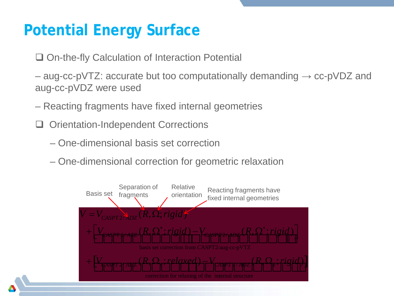### **Potential Energy Surface**

- □ On-the-fly Calculation of Interaction Potential
- $-$  aug-cc-pVTZ: accurate but too computationally demanding  $\rightarrow$  cc-pVDZ and aug-cc-pVDZ were used
- Reacting fragments have fixed internal geometries
- Orientation-Independent Corrections
	- One-dimensional basis set correction
	- One-dimensional correction for geometric relaxation

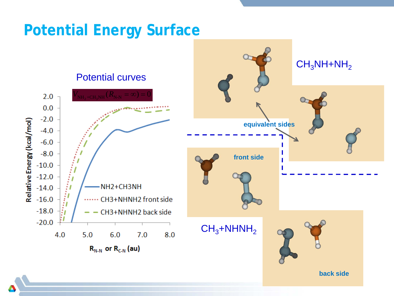#### **Potential Energy Surface**

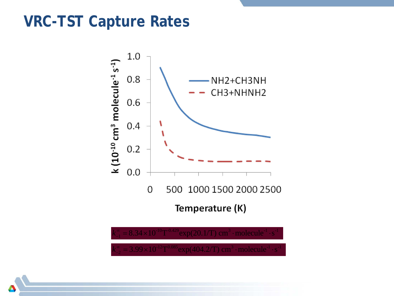#### **VRC-TST Capture Rates**



 $k_{-2}^{\infty} = 3.99 \times 10^{-12} \text{T}^{0.085} \text{exp}(404.2/\text{T}) \text{ cm}^3 \cdot \text{molecule}^{-1} \cdot \text{s}^{-1}$ 

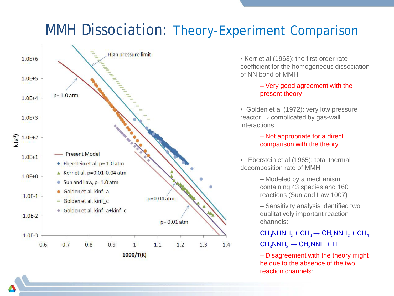#### MMH Dissociation: Theory-Experiment Comparison



• Kerr et al (1963): the first-order rate coefficient for the homogeneous dissociation of NN bond of MMH.

#### – Very good agreement with the present theory

• Golden et al (1972): very low pressure reactor  $\rightarrow$  complicated by gas-wall interactions

#### – Not appropriate for a direct comparison with the theory

• Eberstein et al (1965): total thermal decomposition rate of MMH

> – Modeled by a mechanism containing 43 species and 160 reactions (Sun and Law 1007)

– Sensitivity analysis identified two qualitatively important reaction channels:

 $CH<sub>3</sub>NHNH<sub>2</sub> + CH<sub>3</sub> \rightarrow CH<sub>3</sub>NNH<sub>2</sub> + CH<sub>4</sub>$ 

 $CH_3NNH_2 \rightarrow CH_3NNH + H$ 

– Disagreement with the theory might be due to the absence of the two reaction channels: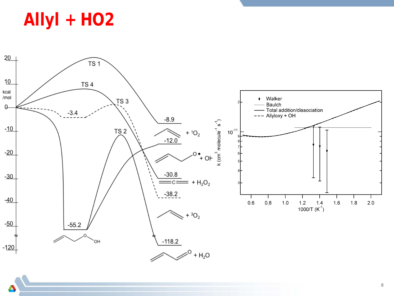**Allyl + HO2**

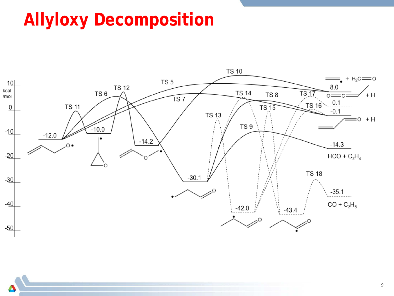## **Allyloxy Decomposition**